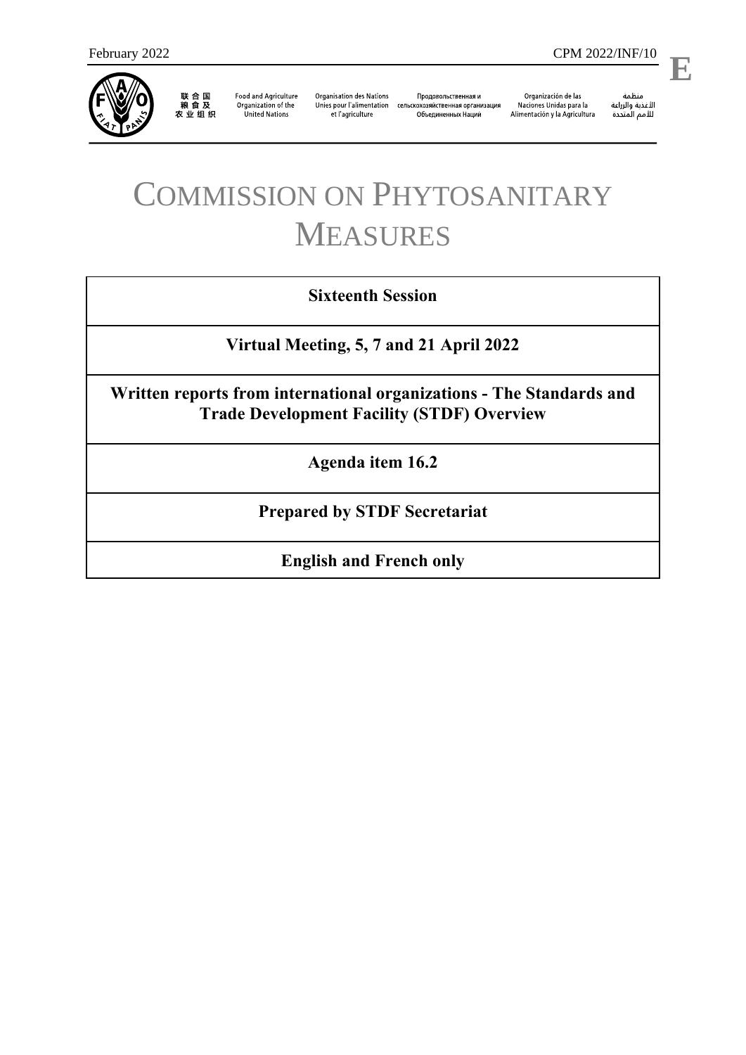

联合国<br>粮食及<br>农业组织

**Food and Agriculture** Organization of the **United Nations** 

**Organisation des Nations** et l'agriculture

Продовольственная и Unies pour l'alimentation сельскохозяйственная организация Объединенных Наций

Organización de las Naciones Unidas para la Alimentación y la Agricultura

منظمة ستنسه<br>الأغذية والزراعة<br>للأمم المتددة

l,

# COMMISSION ON PHYTOSANITARY MEASURES

### **Sixteenth Session**

**Virtual Meeting, 5, 7 and 21 April 2022**

**Written reports from international organizations - The Standards and Trade Development Facility (STDF) Overview**

**Agenda item 16.2**

**Prepared by STDF Secretariat**

**English and French only**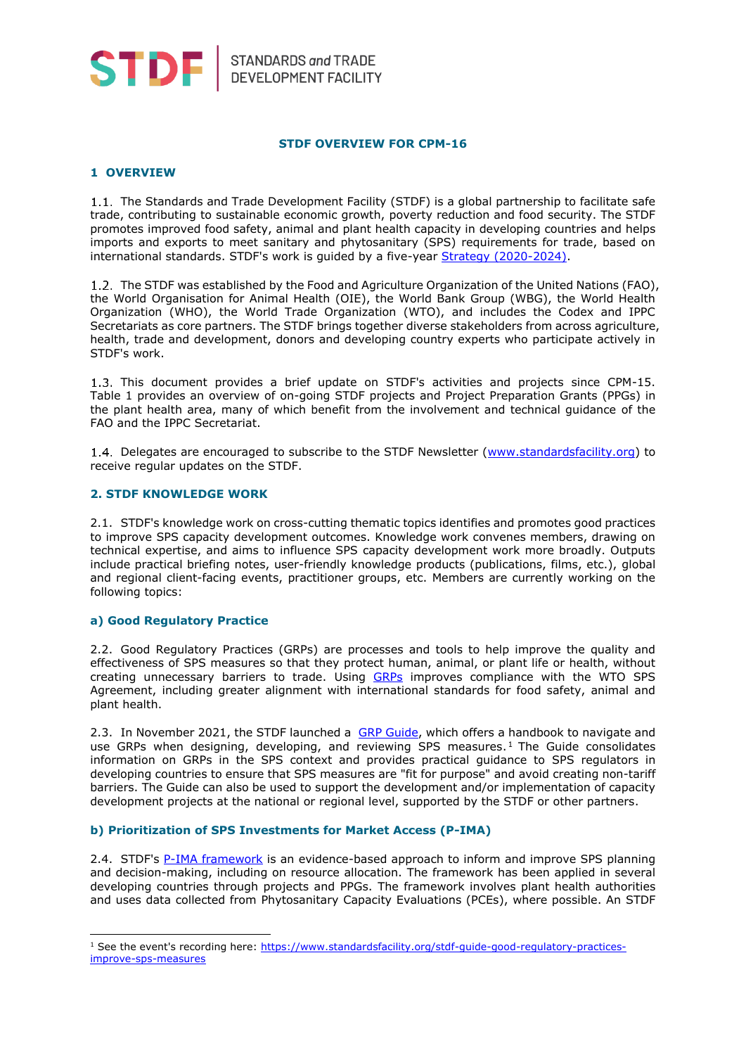

STANDARDS and TRADE<br>DEVELOPMENT FACILITY

#### **STDF OVERVIEW FOR CPM-16**

#### **1 OVERVIEW**

1.1. The Standards and Trade Development Facility (STDF) is a global partnership to facilitate safe trade, contributing to sustainable economic growth, poverty reduction and food security. The STDF promotes improved food safety, animal and plant health capacity in developing countries and helps imports and exports to meet sanitary and phytosanitary (SPS) requirements for trade, based on international standards. STDF's work is guided by a five-year [Strategy \(2020-2024\).](https://standardsfacility.org/sites/default/files/STDF_Strategy_2020-2024.pdf)

1.2. The STDF was established by the Food and Agriculture Organization of the United Nations (FAO), the World Organisation for Animal Health (OIE), the World Bank Group (WBG), the World Health Organization (WHO), the World Trade Organization (WTO), and includes the Codex and IPPC Secretariats as core partners. The STDF brings together diverse stakeholders from across agriculture, health, trade and development, donors and developing country experts who participate actively in STDF's work.

1.3. This document provides a brief update on STDF's activities and projects since CPM-15. Table 1 provides an overview of on-going STDF projects and Project Preparation Grants (PPGs) in the plant health area, many of which benefit from the involvement and technical guidance of the FAO and the IPPC Secretariat.

1.4. Delegates are encouraged to subscribe to the STDF Newsletter [\(www.standardsfacility.org\)](http://www.standardsfacility.org/) to receive regular updates on the STDF.

#### **2. STDF KNOWLEDGE WORK**

2.1. STDF's knowledge work on cross-cutting thematic topics identifies and promotes good practices to improve SPS capacity development outcomes. Knowledge work convenes members, drawing on technical expertise, and aims to influence SPS capacity development work more broadly. Outputs include practical briefing notes, user-friendly knowledge products (publications, films, etc.), global and regional client-facing events, practitioner groups, etc. Members are currently working on the following topics:

#### **a) Good Regulatory Practice**

-

2.2. Good Regulatory Practices (GRPs) are processes and tools to help improve the quality and effectiveness of SPS measures so that they protect human, animal, or plant life or health, without creating unnecessary barriers to trade. Using [GRPs](https://www.standardsfacility.org/good-regulatory-practice) improves compliance with the WTO SPS Agreement, including greater alignment with international standards for food safety, animal and plant health.

2.3. In November 2021, the STDF launched a [GRP Guide,](https://www.standardsfacility.org/sites/default/files/STDF_GRP_Guide_EN.pdf) which offers a handbook to navigate and use GRPs when designing, developing, and reviewing SPS measures. <sup>1</sup> The Guide consolidates information on GRPs in the SPS context and provides practical guidance to SPS regulators in developing countries to ensure that SPS measures are "fit for purpose" and avoid creating non-tariff barriers. The Guide can also be used to support the development and/or implementation of capacity development projects at the national or regional level, supported by the STDF or other partners.

#### **b) Prioritization of SPS Investments for Market Access (P-IMA)**

2.4. STDF's [P-IMA framework](http://www.standardsfacility.org/prioritizing-sps-investments-market-access-p-ima) is an evidence-based approach to inform and improve SPS planning and decision-making, including on resource allocation. The framework has been applied in several developing countries through projects and PPGs. The framework involves plant health authorities and uses data collected from Phytosanitary Capacity Evaluations (PCEs), where possible. An STDF

<sup>&</sup>lt;sup>1</sup> See the event's recording here: [https://www.standardsfacility.org/stdf-guide-good-regulatory-practices](https://www.standardsfacility.org/stdf-guide-good-regulatory-practices-improve-sps-measures)[improve-sps-measures](https://www.standardsfacility.org/stdf-guide-good-regulatory-practices-improve-sps-measures)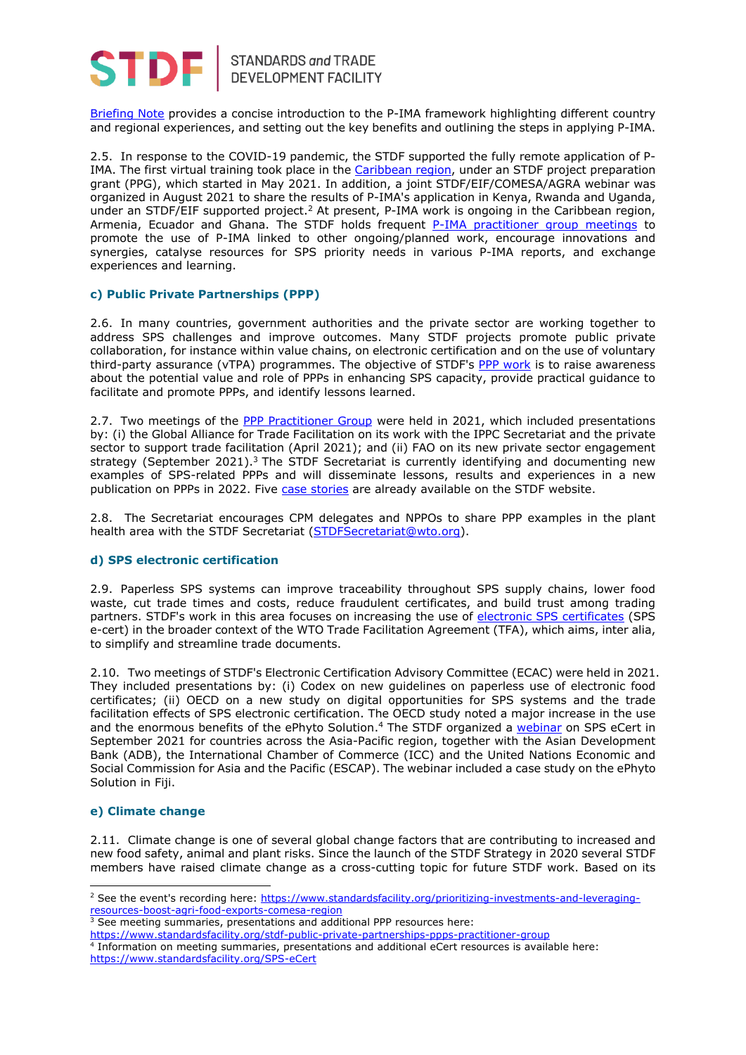

## STANDARDS and TRADE<br>DEVELOPMENT FACILITY

[Briefing](https://standardsfacility.org/sites/default/files/PIMA_Briefing_2019.pdf) Note provides a concise introduction to the P-IMA framework highlighting different country and regional experiences, and setting out the key benefits and outlining the steps in applying P-IMA.

2.5. In response to the COVID-19 pandemic, the STDF supported the fully remote application of P-IMA. The first virtual training took place in the [Caribbean region,](https://us4.campaign-archive.com/?u=1dd65e410f4f874eaf3175abc&id=b07135521e) under an STDF project preparation grant (PPG), which started in May 2021. In addition, a joint STDF/EIF/COMESA/AGRA webinar was organized in August 2021 to share the results of P-IMA's application in Kenya, Rwanda and Uganda, under an STDF/EIF supported project.<sup>2</sup> At present, P-IMA work is ongoing in the Caribbean region, Armenia, Ecuador and Ghana. The STDF holds frequent [P-IMA practitioner group meetings](https://www.standardsfacility.org/stdf-prioritizing-sps-investments-market-access-p-ima-practitioner-group) to promote the use of P-IMA linked to other ongoing/planned work, encourage innovations and synergies, catalyse resources for SPS priority needs in various P-IMA reports, and exchange experiences and learning.

#### **c) Public Private Partnerships (PPP)**

2.6. In many countries, government authorities and the private sector are working together to address SPS challenges and improve outcomes. Many STDF projects promote public private collaboration, for instance within value chains, on electronic certification and on the use of voluntary third-party assurance (vTPA) programmes. The objective of STDF's [PPP work](https://www.standardsfacility.org/public-private-partnerships) is to raise awareness about the potential value and role of PPPs in enhancing SPS capacity, provide practical guidance to facilitate and promote PPPs, and identify lessons learned.

2.7. Two meetings of the [PPP Practitioner Group](https://www.standardsfacility.org/stdf-public-private-partnerships-ppps-practitioner-group) were held in 2021, which included presentations by: (i) the Global Alliance for Trade Facilitation on its work with the IPPC Secretariat and the private sector to support trade facilitation (April 2021); and (ii) FAO on its new private sector engagement strategy (September 2021).<sup>3</sup> The STDF Secretariat is currently identifying and documenting new examples of SPS-related PPPs and will disseminate lessons, results and experiences in a new publication on PPPs in 2022. Five [case stories](https://www.standardsfacility.org/public-private-partnership-ppp-case-stories) are already available on the STDF website.

2.8. The Secretariat encourages CPM delegates and NPPOs to share PPP examples in the plant health area with the STDF Secretariat [\(STDFSecretariat@wto.org\)](mailto:STDFSecretariat@wto.org).

#### **d) SPS electronic certification**

2.9. Paperless SPS systems can improve traceability throughout SPS supply chains, lower food waste, cut trade times and costs, reduce fraudulent certificates, and build trust among trading partners. STDF's work in this area focuses on increasing the use of [electronic SPS certificates](http://www.standardsfacility.org/SPS-eCert) (SPS e-cert) in the broader context of the WTO Trade Facilitation Agreement (TFA), which aims, inter alia, to simplify and streamline trade documents.

2.10. Two meetings of STDF's Electronic Certification Advisory Committee (ECAC) were held in 2021. They included presentations by: (i) Codex on new guidelines on paperless use of electronic food certificates; (ii) OECD on a new study on digital opportunities for SPS systems and the trade facilitation effects of SPS electronic certification. The OECD study noted a major increase in the use and the enormous benefits of the ePhyto Solution.<sup>4</sup> The STDF organized a [webinar](https://www.unescap.org/events/2021/webinar-sps-e-certs-accelerating-cross-border-paperless-trade) on SPS eCert in September 2021 for countries across the Asia-Pacific region, together with the Asian Development Bank (ADB), the International Chamber of Commerce (ICC) and the United Nations Economic and Social Commission for Asia and the Pacific (ESCAP). The webinar included a case study on the ePhyto Solution in Fiji.

#### **e) Climate change**

-

2.11. Climate change is one of several global change factors that are contributing to increased and new food safety, animal and plant risks. Since the launch of the STDF Strategy in 2020 several STDF members have raised climate change as a cross-cutting topic for future STDF work. Based on its

<sup>&</sup>lt;sup>2</sup> See the event's recording here: [https://www.standardsfacility.org/prioritizing-investments-and-leveraging](https://www.standardsfacility.org/prioritizing-investments-and-leveraging-resources-boost-agri-food-exports-comesa-region)[resources-boost-agri-food-exports-comesa-region](https://www.standardsfacility.org/prioritizing-investments-and-leveraging-resources-boost-agri-food-exports-comesa-region)

<sup>&</sup>lt;sup>3</sup> See meeting summaries, presentations and additional PPP resources here:

<https://www.standardsfacility.org/stdf-public-private-partnerships-ppps-practitioner-group>

<sup>4</sup> Information on meeting summaries, presentations and additional eCert resources is available here: <https://www.standardsfacility.org/SPS-eCert>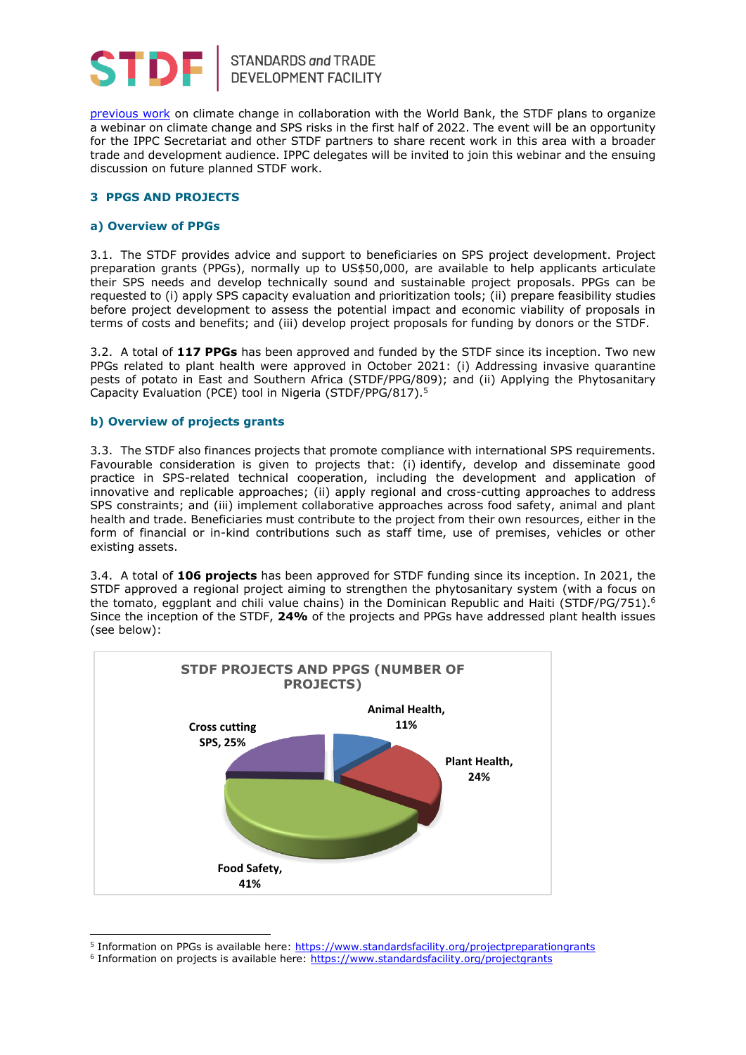

[previous work](https://www.standardsfacility.org/climate-change) on climate change in collaboration with the World Bank, the STDF plans to organize a webinar on climate change and SPS risks in the first half of 2022. The event will be an opportunity for the IPPC Secretariat and other STDF partners to share recent work in this area with a broader trade and development audience. IPPC delegates will be invited to join this webinar and the ensuing discussion on future planned STDF work.

#### **3 PPGS AND PROJECTS**

#### **a) Overview of PPGs**

3.1. The STDF provides advice and support to beneficiaries on SPS project development. Project preparation grants (PPGs), normally up to US\$50,000, are available to help applicants articulate their SPS needs and develop technically sound and sustainable project proposals. PPGs can be requested to (i) apply SPS capacity evaluation and prioritization tools; (ii) prepare feasibility studies before project development to assess the potential impact and economic viability of proposals in terms of costs and benefits; and (iii) develop project proposals for funding by donors or the STDF.

3.2. A total of **117 PPGs** has been approved and funded by the STDF since its inception. Two new PPGs related to plant health were approved in October 2021: (i) Addressing invasive quarantine pests of potato in East and Southern Africa (STDF/PPG/809); and (ii) Applying the Phytosanitary Capacity Evaluation (PCE) tool in Nigeria (STDF/PPG/817). 5

#### **b) Overview of projects grants**

-

3.3. The STDF also finances projects that promote compliance with international SPS requirements. Favourable consideration is given to projects that: (i) identify, develop and disseminate good practice in SPS-related technical cooperation, including the development and application of innovative and replicable approaches; (ii) apply regional and cross-cutting approaches to address SPS constraints; and (iii) implement collaborative approaches across food safety, animal and plant health and trade. Beneficiaries must contribute to the project from their own resources, either in the form of financial or in-kind contributions such as staff time, use of premises, vehicles or other existing assets.

3.4. A total of **106 projects** has been approved for STDF funding since its inception. In 2021, the STDF approved a regional project aiming to strengthen the phytosanitary system (with a focus on the tomato, eggplant and chili value chains) in the Dominican Republic and Haiti (STDF/PG/751). 6 Since the inception of the STDF, **24%** of the projects and PPGs have addressed plant health issues (see below):



<sup>&</sup>lt;sup>5</sup> Information on PPGs is available here: <https://www.standardsfacility.org/projectpreparationgrants>

<sup>&</sup>lt;sup>6</sup> Information on projects is available here:<https://www.standardsfacility.org/projectgrants>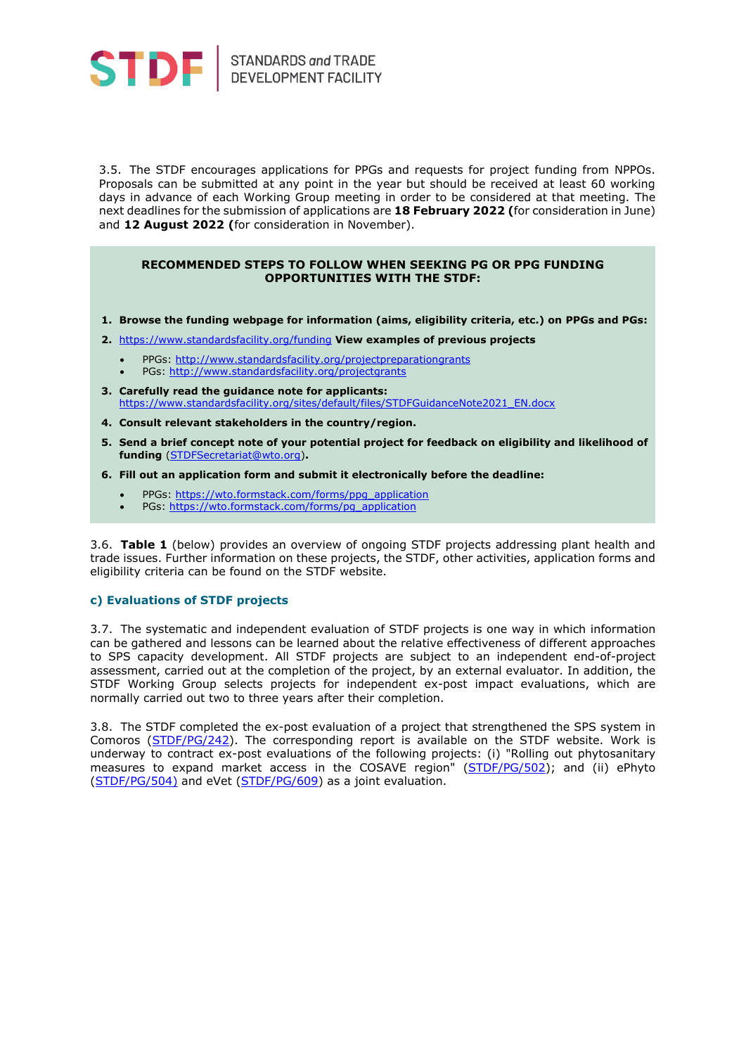

STANDARDS and TRADE<br>DEVELOPMENT FACILITY

3.5. The STDF encourages applications for PPGs and requests for project funding from NPPOs. Proposals can be submitted at any point in the year but should be received at least 60 working days in advance of each Working Group meeting in order to be considered at that meeting. The next deadlines for the submission of applications are **18 February 2022 (**for consideration in June) and **12 August 2022 (**for consideration in November).

#### **RECOMMENDED STEPS TO FOLLOW WHEN SEEKING PG OR PPG FUNDING OPPORTUNITIES WITH THE STDF:**

- **1. Browse the funding webpage for information (aims, eligibility criteria, etc.) on PPGs and PGs:**
- **2.** <https://www.standardsfacility.org/funding> **View examples of previous projects**
	- PPGs:<http://www.standardsfacility.org/projectpreparationgrants>
	- PGs:<http://www.standardsfacility.org/projectgrants>
- **3. Carefully read the guidance note for applicants:** https://www.standardsfacility.org/sites/default/files/STDFGuidanceNote2021\_EN.docx
- **4. Consult relevant stakeholders in the country/region.**
- **5. Send a brief concept note of your potential project for feedback on eligibility and likelihood of funding** [\(STDFSecretariat@wto.org\)](mailto:STDFSecretariat@wto.org)**.**
- **6. Fill out an application form and submit it electronically before the deadline:** 
	- PPGs: [https://wto.formstack.com/forms/ppg\\_application](https://wto.formstack.com/forms/ppg_application)
	- PGs: [https://wto.formstack.com/forms/pg\\_application](https://wto.formstack.com/forms/pg_application)

3.6. **Table 1** (below) provides an overview of ongoing STDF projects addressing plant health and trade issues. Further information on these projects, the STDF, other activities, application forms and eligibility criteria can be found on the STDF website.

#### **c) Evaluations of STDF projects**

3.7. The systematic and independent evaluation of STDF projects is one way in which information can be gathered and lessons can be learned about the relative effectiveness of different approaches to SPS capacity development. All STDF projects are subject to an independent end-of-project assessment, carried out at the completion of the project, by an external evaluator. In addition, the STDF Working Group selects projects for independent ex-post impact evaluations, which are normally carried out two to three years after their completion.

3.8. The STDF completed the ex-post evaluation of a project that strengthened the SPS system in Comoros [\(STDF/PG/242\)](http://www.standardsfacility.org/PG-242). The corresponding report is available on the STDF website. Work is underway to contract ex-post evaluations of the following projects: (i) "Rolling out phytosanitary measures to expand market access in the COSAVE region" [\(STDF/PG/502\)](https://www.standardsfacility.org/PG-502); and (ii) ePhyto [\(STDF/PG/504\)](https://www.standardsfacility.org/PG-504) and eVet [\(STDF/PG/609\)](https://www.standardsfacility.org/PG-609) as a joint evaluation.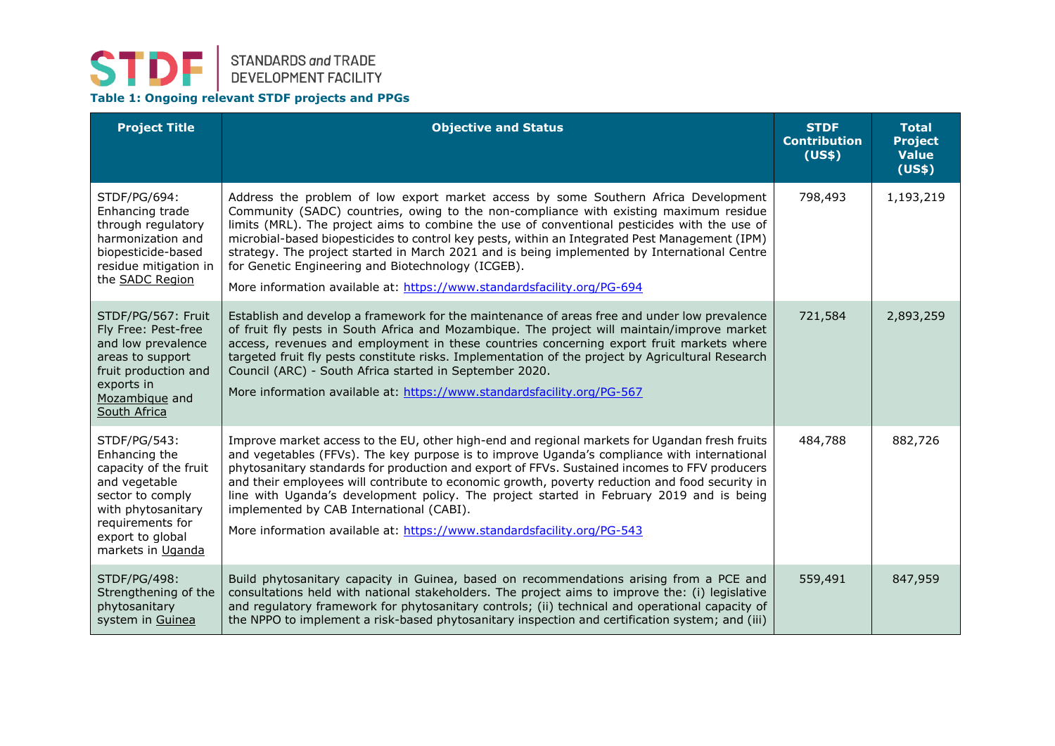## **STDF** STANDARDS and TRADE<br>DEVELOPMENT FACILITY

#### **Table 1: Ongoing relevant STDF projects and PPGs**

| <b>Project Title</b>                                                                                                                                                           | <b>Objective and Status</b>                                                                                                                                                                                                                                                                                                                                                                                                                                                                                                                                                                                        | <b>STDF</b><br><b>Contribution</b><br>(US\$) | <b>Total</b><br><b>Project</b><br><b>Value</b><br>(US\$) |
|--------------------------------------------------------------------------------------------------------------------------------------------------------------------------------|--------------------------------------------------------------------------------------------------------------------------------------------------------------------------------------------------------------------------------------------------------------------------------------------------------------------------------------------------------------------------------------------------------------------------------------------------------------------------------------------------------------------------------------------------------------------------------------------------------------------|----------------------------------------------|----------------------------------------------------------|
| STDF/PG/694:<br>Enhancing trade<br>through regulatory<br>harmonization and<br>biopesticide-based<br>residue mitigation in<br>the SADC Region                                   | Address the problem of low export market access by some Southern Africa Development<br>Community (SADC) countries, owing to the non-compliance with existing maximum residue<br>limits (MRL). The project aims to combine the use of conventional pesticides with the use of<br>microbial-based biopesticides to control key pests, within an Integrated Pest Management (IPM)<br>strategy. The project started in March 2021 and is being implemented by International Centre<br>for Genetic Engineering and Biotechnology (ICGEB).<br>More information available at: https://www.standardsfacility.org/PG-694    | 798,493                                      | 1,193,219                                                |
| STDF/PG/567: Fruit<br>Fly Free: Pest-free<br>and low prevalence<br>areas to support<br>fruit production and<br>exports in<br>Mozambique and<br>South Africa                    | Establish and develop a framework for the maintenance of areas free and under low prevalence<br>of fruit fly pests in South Africa and Mozambique. The project will maintain/improve market<br>access, revenues and employment in these countries concerning export fruit markets where<br>targeted fruit fly pests constitute risks. Implementation of the project by Agricultural Research<br>Council (ARC) - South Africa started in September 2020.<br>More information available at: https://www.standardsfacility.org/PG-567                                                                                 | 721,584                                      | 2,893,259                                                |
| STDF/PG/543:<br>Enhancing the<br>capacity of the fruit<br>and vegetable<br>sector to comply<br>with phytosanitary<br>requirements for<br>export to global<br>markets in Uganda | Improve market access to the EU, other high-end and regional markets for Ugandan fresh fruits<br>and vegetables (FFVs). The key purpose is to improve Uganda's compliance with international<br>phytosanitary standards for production and export of FFVs. Sustained incomes to FFV producers<br>and their employees will contribute to economic growth, poverty reduction and food security in<br>line with Uganda's development policy. The project started in February 2019 and is being<br>implemented by CAB International (CABI).<br>More information available at: https://www.standardsfacility.org/PG-543 | 484,788                                      | 882,726                                                  |
| STDF/PG/498:<br>Strengthening of the<br>phytosanitary<br>system in Guinea                                                                                                      | Build phytosanitary capacity in Guinea, based on recommendations arising from a PCE and<br>consultations held with national stakeholders. The project aims to improve the: (i) legislative<br>and regulatory framework for phytosanitary controls; (ii) technical and operational capacity of<br>the NPPO to implement a risk-based phytosanitary inspection and certification system; and (iii)                                                                                                                                                                                                                   | 559,491                                      | 847,959                                                  |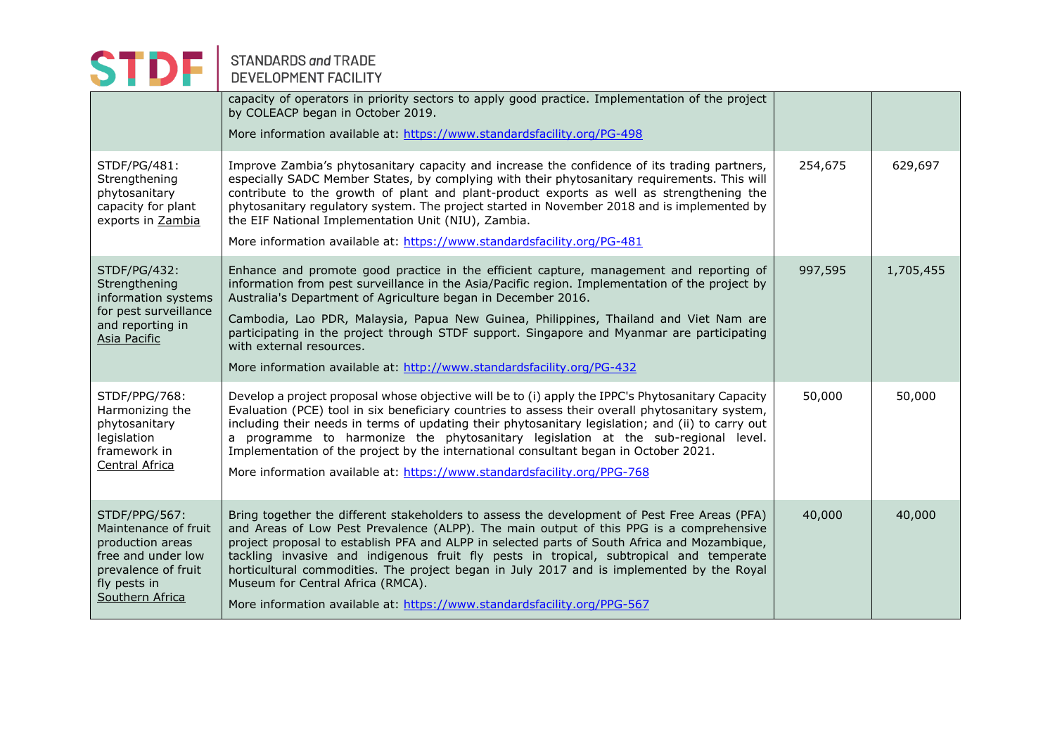# STANDARDS and TRADE

|                                                                                                                                           | capacity of operators in priority sectors to apply good practice. Implementation of the project<br>by COLEACP began in October 2019.<br>More information available at: https://www.standardsfacility.org/PG-498                                                                                                                                                                                                                                                                                                                                                                                  |         |           |
|-------------------------------------------------------------------------------------------------------------------------------------------|--------------------------------------------------------------------------------------------------------------------------------------------------------------------------------------------------------------------------------------------------------------------------------------------------------------------------------------------------------------------------------------------------------------------------------------------------------------------------------------------------------------------------------------------------------------------------------------------------|---------|-----------|
| STDF/PG/481:<br>Strengthening<br>phytosanitary<br>capacity for plant<br>exports in Zambia                                                 | Improve Zambia's phytosanitary capacity and increase the confidence of its trading partners,<br>especially SADC Member States, by complying with their phytosanitary requirements. This will<br>contribute to the growth of plant and plant-product exports as well as strengthening the<br>phytosanitary regulatory system. The project started in November 2018 and is implemented by<br>the EIF National Implementation Unit (NIU), Zambia.<br>More information available at: https://www.standardsfacility.org/PG-481                                                                        | 254,675 | 629,697   |
| STDF/PG/432:<br>Strengthening<br>information systems<br>for pest surveillance<br>and reporting in<br>Asia Pacific                         | Enhance and promote good practice in the efficient capture, management and reporting of<br>information from pest surveillance in the Asia/Pacific region. Implementation of the project by<br>Australia's Department of Agriculture began in December 2016.<br>Cambodia, Lao PDR, Malaysia, Papua New Guinea, Philippines, Thailand and Viet Nam are<br>participating in the project through STDF support. Singapore and Myanmar are participating<br>with external resources.<br>More information available at: http://www.standardsfacility.org/PG-432                                         | 997,595 | 1,705,455 |
| STDF/PPG/768:<br>Harmonizing the<br>phytosanitary<br>legislation<br>framework in<br><b>Central Africa</b>                                 | Develop a project proposal whose objective will be to (i) apply the IPPC's Phytosanitary Capacity<br>Evaluation (PCE) tool in six beneficiary countries to assess their overall phytosanitary system,<br>including their needs in terms of updating their phytosanitary legislation; and (ii) to carry out<br>a programme to harmonize the phytosanitary legislation at the sub-regional level.<br>Implementation of the project by the international consultant began in October 2021.<br>More information available at: https://www.standardsfacility.org/PPG-768                              | 50,000  | 50,000    |
| STDF/PPG/567:<br>Maintenance of fruit<br>production areas<br>free and under low<br>prevalence of fruit<br>fly pests in<br>Southern Africa | Bring together the different stakeholders to assess the development of Pest Free Areas (PFA)<br>and Areas of Low Pest Prevalence (ALPP). The main output of this PPG is a comprehensive<br>project proposal to establish PFA and ALPP in selected parts of South Africa and Mozambique,<br>tackling invasive and indigenous fruit fly pests in tropical, subtropical and temperate<br>horticultural commodities. The project began in July 2017 and is implemented by the Royal<br>Museum for Central Africa (RMCA).<br>More information available at: https://www.standardsfacility.org/PPG-567 | 40,000  | 40,000    |